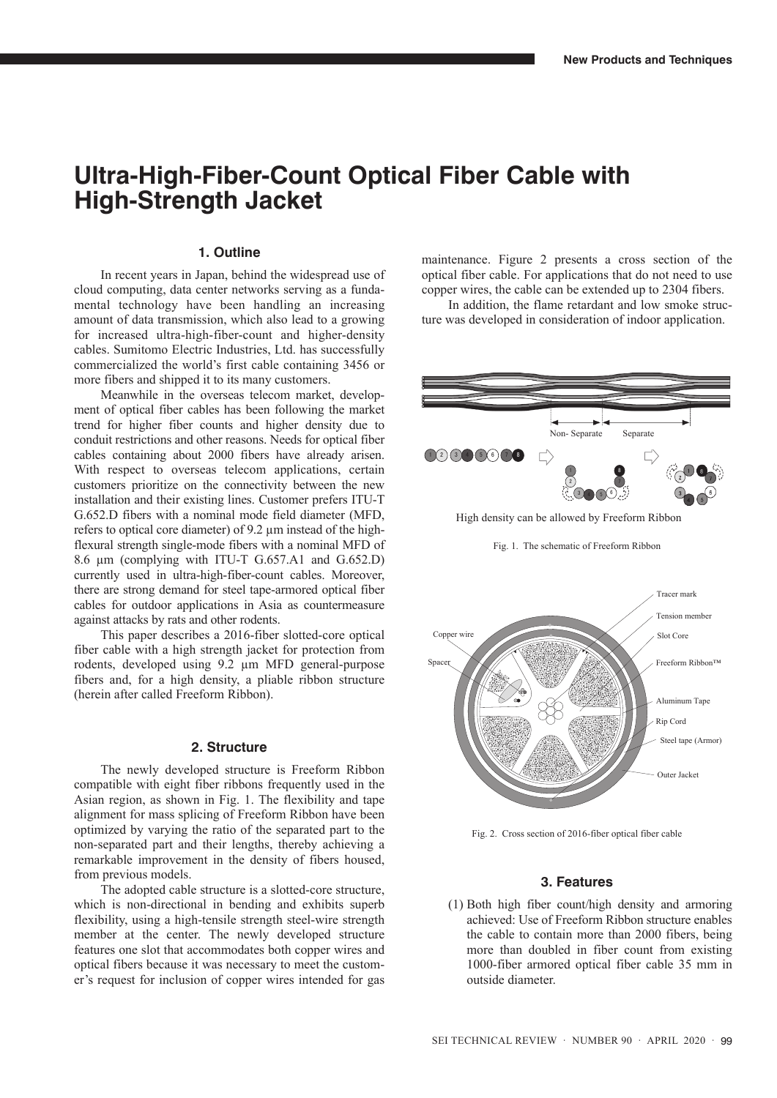## **Ultra-High-Fiber-Count Optical Fiber Cable with High-Strength Jacket**

## **1. Outline**

In recent years in Japan, behind the widespread use of cloud computing, data center networks serving as a fundamental technology have been handling an increasing amount of data transmission, which also lead to a growing for increased ultra-high-fiber-count and higher-density cables. Sumitomo Electric Industries, Ltd. has successfully commercialized the world's first cable containing 3456 or more fibers and shipped it to its many customers.

Meanwhile in the overseas telecom market, development of optical fiber cables has been following the market trend for higher fiber counts and higher density due to conduit restrictions and other reasons. Needs for optical fiber cables containing about 2000 fibers have already arisen. With respect to overseas telecom applications, certain customers prioritize on the connectivity between the new installation and their existing lines. Customer prefers ITU-T G.652.D fibers with a nominal mode field diameter (MFD, refers to optical core diameter) of 9.2 µm instead of the highflexural strength single-mode fibers with a nominal MFD of 8.6 µm (complying with ITU-T G.657.A1 and G.652.D) currently used in ultra-high-fiber-count cables. Moreover, there are strong demand for steel tape-armored optical fiber cables for outdoor applications in Asia as countermeasure against attacks by rats and other rodents.

This paper describes a 2016-fiber slotted-core optical fiber cable with a high strength jacket for protection from rodents, developed using 9.2 µm MFD general-purpose fibers and, for a high density, a pliable ribbon structure (herein after called Freeform Ribbon).

## **2. Structure**

The newly developed structure is Freeform Ribbon compatible with eight fiber ribbons frequently used in the Asian region, as shown in Fig. 1. The flexibility and tape alignment for mass splicing of Freeform Ribbon have been optimized by varying the ratio of the separated part to the non-separated part and their lengths, thereby achieving a remarkable improvement in the density of fibers housed, from previous models.

The adopted cable structure is a slotted-core structure, which is non-directional in bending and exhibits superb flexibility, using a high-tensile strength steel-wire strength member at the center. The newly developed structure features one slot that accommodates both copper wires and optical fibers because it was necessary to meet the customer's request for inclusion of copper wires intended for gas maintenance. Figure 2 presents a cross section of the optical fiber cable. For applications that do not need to use copper wires, the cable can be extended up to 2304 fibers.

In addition, the flame retardant and low smoke structure was developed in consideration of indoor application.



Fig. 1. The schematic of Freeform Ribbon



Fig. 2. Cross section of 2016-fiber optical fiber cable

## **3. Features**

(1) Both high fiber count/high density and armoring achieved: Use of Freeform Ribbon structure enables the cable to contain more than 2000 fibers, being more than doubled in fiber count from existing 1000-fiber armored optical fiber cable 35 mm in outside diameter.